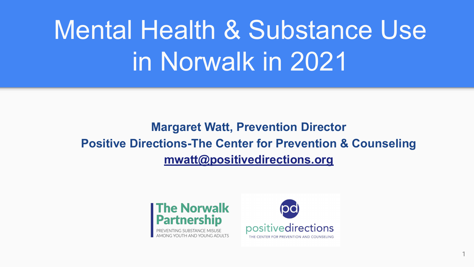# Mental Health & Substance Use in Norwalk in 2021

# **Margaret Watt, Prevention Director Positive Directions-The Center for Prevention & Counseling [mwatt@positivedirections.org](mailto:mwatt@positivedirections.org)**





1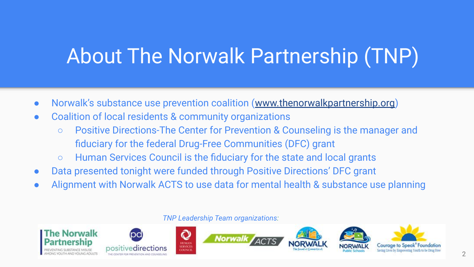# About The Norwalk Partnership (TNP)

- Norwalk's substance use prevention coalition ([www.thenorwalkpartnership.org](http://www.thenorwalkpartnership.org))
- Coalition of local residents & community organizations
	- Positive Directions-The Center for Prevention & Counseling is the manager and fiduciary for the federal Drug-Free Communities (DFC) grant
	- Human Services Council is the fiduciary for the state and local grants
- Data presented tonight were funded through Positive Directions' DFC grant
- Alignment with Norwalk ACTS to use data for mental health & substance use planning

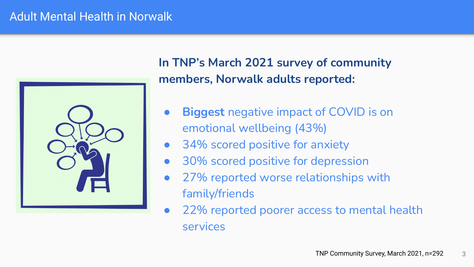# Adult Mental Health in Norwalk



**In TNP's March 2021 survey of community members, Norwalk adults reported:** 

- **Biggest** negative impact of COVID is on emotional wellbeing (43%)
- 34% scored positive for anxiety
- 30% scored positive for depression
- 27% reported worse relationships with family/friends
- 22% reported poorer access to mental health services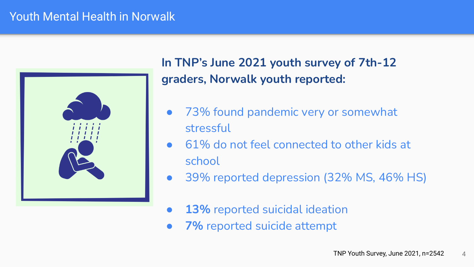# Youth Mental Health in Norwalk



**In TNP's June 2021 youth survey of 7th-12 graders, Norwalk youth reported:** 

- 73% found pandemic very or somewhat stressful
- 61% do not feel connected to other kids at school
- 39% reported depression (32% MS, 46% HS)
- **13%** reported suicidal ideation
- **7%** reported suicide attempt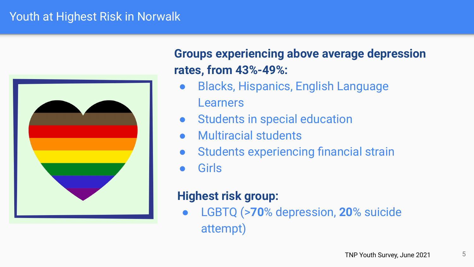## Youth at Highest Risk in Norwalk



# **Groups experiencing above average depression rates, from 43%-49%:**

- Blacks, Hispanics, English Language Learners
- Students in special education
- **Multiracial students**
- Students experiencing financial strain
- **Girls**

# **Highest risk group:**

● LGBTQ (>**70**% depression, **20**% suicide attempt)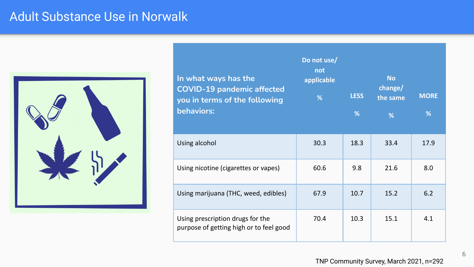# Adult Substance Use in Norwalk



| In what ways has the<br><b>COVID-19 pandemic affected</b><br>you in terms of the following<br>behaviors: | Do not use/<br>not<br>applicable<br>% | <b>LESS</b><br>% | <b>No</b><br>change/<br>the same<br>% | <b>MORE</b><br>% |
|----------------------------------------------------------------------------------------------------------|---------------------------------------|------------------|---------------------------------------|------------------|
| Using alcohol                                                                                            | 30.3                                  | 18.3             | 33.4                                  | 17.9             |
| Using nicotine (cigarettes or vapes)                                                                     | 60.6                                  | 9.8              | 21.6                                  | 8.0              |
| Using marijuana (THC, weed, edibles)                                                                     | 67.9                                  | 10.7             | 15.2                                  | 6.2              |
| Using prescription drugs for the<br>purpose of getting high or to feel good                              | 70.4                                  | 10.3             | 15.1                                  | 4.1              |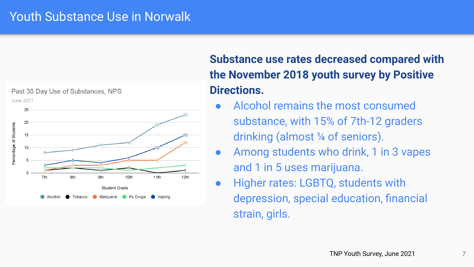## Youth Substance Use in Norwalk



# **Substance use rates decreased compared with the November 2018 youth survey by Positive Directions.**

- Alcohol remains the most consumed substance, with 15% of 7th-12 graders drinking (almost ¼ of seniors).
- Among students who drink, 1 in 3 vapes and 1 in 5 uses marijuana.
- Higher rates: LGBTQ, students with depression, special education, financial strain, girls.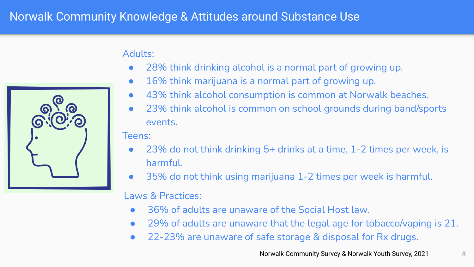# Norwalk Community Knowledge & Attitudes around Substance Use



#### Adults:

- 28% think drinking alcohol is a normal part of growing up.
- 16% think marijuana is a normal part of growing up.
- 43% think alcohol consumption is common at Norwalk beaches.
- 23% think alcohol is common on school grounds during band/sports events.

#### Teens:

- $23\%$  do not think drinking 5+ drinks at a time, 1-2 times per week, is harmful.
- 35% do not think using marijuana 1-2 times per week is harmful.

#### Laws & Practices:

- 36% of adults are unaware of the Social Host law.
- 29% of adults are unaware that the legal age for tobacco/vaping is 21.
- 22-23% are unaware of safe storage & disposal for Rx drugs.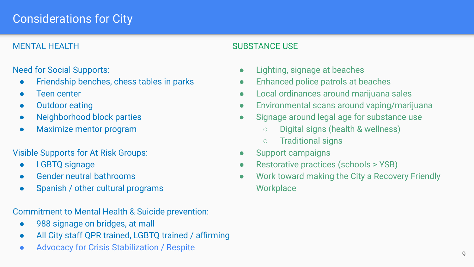# Considerations for City

#### MENTAL HEALTH

#### Need for Social Supports:

- Friendship benches, chess tables in parks
- Teen center
- Outdoor eating
- Neighborhood block parties
- Maximize mentor program

#### Visible Supports for At Risk Groups:

- LGBTQ signage
- Gender neutral bathrooms
- Spanish / other cultural programs

Commitment to Mental Health & Suicide prevention:

- 988 signage on bridges, at mall
- All City staff QPR trained, LGBTQ trained / affirming
- Advocacy for Crisis Stabilization / Respite

#### SUBSTANCE USE

- Lighting, signage at beaches
- Enhanced police patrols at beaches
- Local ordinances around marijuana sales
- Environmental scans around vaping/marijuana
- Signage around legal age for substance use
	- Digital signs (health & wellness)
	- Traditional signs
- Support campaigns
- Restorative practices (schools > YSB)
- Work toward making the City a Recovery Friendly **Workplace**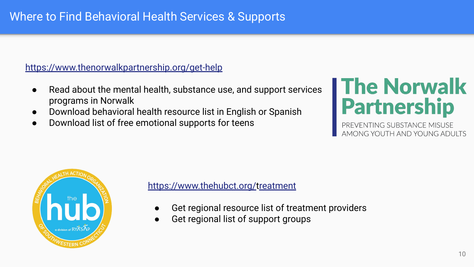# Where to Find Behavioral Health Services & Supports

#### <https://www.thenorwalkpartnership.org/get-help>

- Read about the mental health, substance use, and support services programs in Norwalk
- Download behavioral health resource list in English or Spanish
- Download list of free emotional supports for teens

# The Norwalk<br>Partnership

NG SUBSTANCE MISUSE AMONG YOUTH AND YOUNG ADUITS



#### [https://www.thehubct.org/](https://www.thenorwalkpartnership.org/get-help)treatment

- Get regional resource list of treatment providers
- Get regional list of support groups